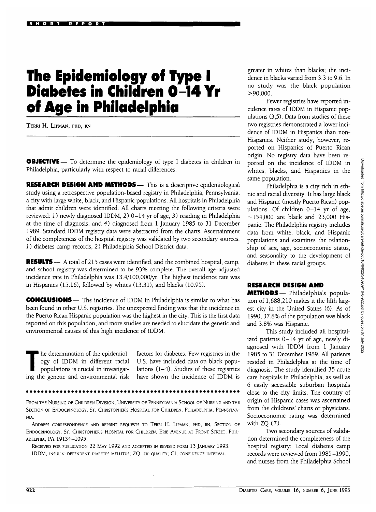# **The Epidemiology of Type I Diabetes in Children 0-14 Yr of Age in Philadelphia**

TERRl H. LlPMAN, PHD, RN

**OBJECTIVE**— To determine the epidemiology of type I diabetes in children in Philadelphia, particularly with respect to racial differences.

**RESEARCH DESIGN AND METHODS—** This is a descriptive epidemiological study using a retrospective population-based registry in Philadelphia, Pennsylvania, a city with large white, black, and Hispanic populations. All hospitals in Philadelphia that admit children were identified. All charts meeting the following criteria were reviewed: *1*) newly diagnosed IDDM, 2) 0-14 yr of age, 3) residing in Philadelphia at the time of diagnosis, and 4) diagnosed from 1 January 1985 to 31 December 1989. Standard IDDM registry data were abstracted from the charts. Ascertainment of the completeness of the hospital registry was validated by two secondary sources: I) diabetes camp records, 2) Philadelphia School District data.

**RESULTS**— A total of 215 cases were identified, and the combined hospital, camp, and school registry was determined to be 93% complete. The overall age-adjusted incidence rate in Philadelphia was 13.4/100,000/yr. The highest incidence rate was in Hispanics (15.16), followed by whites (13.31), and blacks (10.95).

**CONCLUSIONS** — The incidence of IDDM in Philadelphia is similar to what has been found in other U.S. registries. The unexpected finding was that the incidence in the Puerto Rican Hispanic population was the highest in the city. This is the first data reported on this population, and more studies are needed to elucidate the genetic and environmental causes of this high incidence of IDDM.

The determination of the epidemiology of IDDM in different racial populations is crucial in investigation ogy of IDDM in different racial populations is crucial in investigating the genetic and environmental risk

factors for diabetes. Few registries in the U.S. have included data on black populations  $(1-4)$ . Studies of these registries have shown the incidence of IDDM is

FROM THE NURSING OF CHILDREN DIVISION, UNIVERSITY OF PENNSYLVANIA SCHOOL OF NURSING AND THE SECTION OF ENDOCRINOLOGY, ST. CHRISTOPHER'S HOSPITAL FOR CHILDREN, PHILADELPHIA, PENNSYLVA-NIA.

ADDRESS CORRESPONDENCE AND REPRINT REQUESTS TO TERRI H. LIPMAN, PHD, RN, SECTION OF ENDOCRINOLOGY, ST. CHRISTOPHER'S HOSPITAL FOR CHILDREN, ERIE AVENUE AT FRONT STREET, PHIL-ADELPHIA, PA 19134-1095.

RECEIVED FOR PUBLICATION 22 MAY 1992 AND ACCEPTED IN REVISED FORM 13 JANUARY 1993. IDDM, INSULIN-DEPENDENT DIABETES MELLITUS; ZQ, ZIP QUALITY; CI, CONFIDENCE INTERVAL.

greater in whites than blacks; the incidence in blacks varied from 3.3 to 9.6. In no study was the black population  $>90,000$ .

Fewer registries have reported incidence rates of IDDM in Hispanic populations (3,5). Data from studies of these two registries demonstrated a lower incidence of IDDM in Hispanics than non-Hispanics. Neither study, however, reported on Hispanics of Puerto Rican origin. No registry data have been reported on the incidence of IDDM in whites, blacks, and Hispanics in the same population.

Philadelphia is a city rich in ethnic and racial diversity. It has large black and Hispanic (mostly Puerto Rican) populations. Of children 0-14 yr of age,  $-154,000$  are black and 23,000 Hispanic. The Philadelphia registry includes data from white, black, and Hispanic populations and examines the relationship of sex, age, socioeconomic status, and seasonality to the development of diabetes in these racial groups.

# **RESEARCH DESIGN AND**

**METHODS—** Philadelphia's population of 1,688,210 makes it the fifth largest city in the United States (6). As of 1990, 37.8% of the population was black and 3.8% was Hispanic.

This study included all hospitalized patients 0-14 yr of age, newly diagnosed with IDDM from 1 January 1985 to 31 December 1989. All patients resided in Philadelphia at the time of diagnosis. The study identified 35 acute care hospitals in Philadelphia, as well as 6 easily accessible suburban hospitals close to the city limits. The country of origin of Hispanic cases was ascertained from the childrens' charts or physicians. Socioeconomic rating was determined with  $ZQ(7)$ .

Two secondary sources of validation determined the completeness of the hospital registry: Local diabetes camp records were reviewed from 1985-1990, and nurses from the Philadelphia School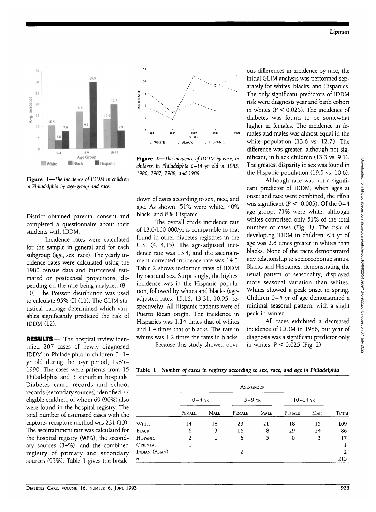

 $25$  $20$ NCIDENCE  $\overline{15}$  $10$ **1987 YEAR 1988 . WHITE . HISPANIC . BLACK**

**Figure 2**—*The incidence of IDDM by race, in children in Philadelphia 0-14 yr old in 1985, 1986, 1987, 1988, and 1989.*

**Figure 1**—*The incidence of IDDM in children in Philadelphia by age-group and race.*

District obtained parental consent and completed a questionnaire about their students with IDDM.

Incidence rates were calculated for the sample in general and for each subgroup (age, sex, race). The yearly incidence rates were calculated using the 1980 census data and intercensal estimated or postcensal projections, depending on the race being analyzed (8— 10). The Poisson distribution was used to calculate 95% CI (11). The GLIM statistical package determined which variables significantly predicted the risk of IDDM (12).

**RESULTS** — The hospital review identified 207 cases of newly diagnosed IDDM in Philadelphia in children 0-14 yr old during the 5-yr period, 1985- 1990. The cases were patients from 15 Philadelphia and 3 suburban hospitals. Diabetes camp records and school records (secondary sources) identified 77 eligible children, of whom 69 (90%) also were found in the hospital registry. The total number of estimated cases with the capture- recapture method was 231 (13). The ascertainment rate was calculated for the hospital registry (90%), the secondary sources (34%), and the combined registry of primary and secondary sources (93%). Table 1 gives the breakdown of cases according to sex, race, and age. As shown, 51% were white, 40% black, and 8% Hispanic.

The overall crude incidence rate of 13.0/100,000/yr is comparable to that found in other diabetes registries in the U.S. (4,14,15). The age-adjusted incidence rate was 13.4, and the ascertainment-corrected incidence rate was 14.0. Table 2 shows incidence rates of IDDM by race and sex. Surprisingly, the highest incidence was in the Hispanic population, followed by whites and blacks (ageadjusted rates: 15.16, 13.31, 10.95, respectively). All Hispanic patients were of Puerto Rican origin. The incidence in Hispanics was 1.14 times that of whites and 1.4 times that of blacks. The rate in whites was 1.2 times the rates in blacks.

Because this study showed obvi-

ous differences in incidence by race, the initial GLIM analysis was performed separately for whites, blacks, and Hispanics. The only significant predictors of IDDM risk were diagnosis year and birth cohort in whites  $(P < 0.025)$ . The incidence of diabetes was found to be somewhat higher in females. The incidence in females and males was almost equal in the white population (13.6 vs. 12.7). The difference was greater, although not significant, in black children (13.3 vs. 9.1). The greatest disparity in sex was found in the Hispanic population (19.5 vs. 10.6).

Although race was not a significant predictor of IDDM, when ages at onset and race were combined, the effect was significant ( $P < 0.005$ ). Of the  $0-4$ age group, 71% were white, although whites comprised only 51% of the total number of cases (Fig. 1). The risk of developing IDDM in children <5 yr of age was 2.8 times greater in whites than blacks. None of the races demonstrated any relationship to socioeconomic status. Blacks and Hispanics, demonstrating the usual pattern of seasonality, displayed more seasonal variation than whites. Whites showed a peak onset in spring. Children 0-4 yr of age demonstrated a minimal seasonal pattern, with a slight peak in winter.

All races exhibited a decreased incidence of IDDM in 1986, but year of diagnosis was a significant predictor only in whites,  $P < 0.025$  (Fig. 2).

Table 1—Number *of cases in registry according to sex, race, and age in Philadelphia*

|                 | AGE-GROUP |      |          |             |               |             |              |
|-----------------|-----------|------|----------|-------------|---------------|-------------|--------------|
|                 | $0-4$ YR  |      | $5-9$ YR |             | $10 - 14$ YR  |             |              |
|                 | FEMALE    | MALE | FEMALE   | <b>MALE</b> | <b>FEMALE</b> | <b>MALE</b> | <b>TOTAL</b> |
| White           | 14        | 18   | 23       | 21          | 18            | 15          | 109          |
| Black           | 6         | 3    | 16       | 8           | 29            | 24          | 86           |
| <b>HISPANIC</b> | 2         |      | 6        | 5           | 0             | 3           | 17           |
| Oriental        |           |      |          |             |               |             |              |
| Indian (Asian)  |           |      | 2        |             |               |             | 2            |
| n               |           |      |          |             |               |             | 215          |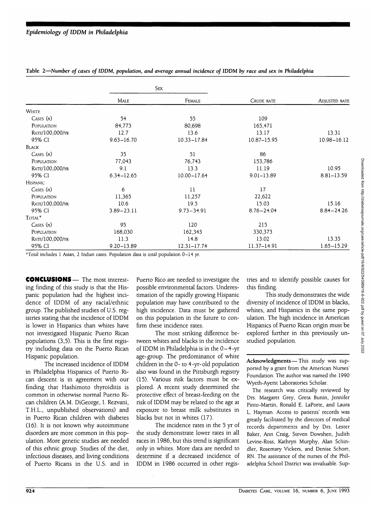|                    | Sex            |                 |                |                 |
|--------------------|----------------|-----------------|----------------|-----------------|
|                    | Male           | FEMALE          | CRUDE RATE     | ADJUSTED RATE   |
| <b>WHITE</b>       |                |                 |                |                 |
| CASES $(n)$        | 54             | 55              | 109            |                 |
| POPULATION         | 84,773         | 80,698          | 165,471        |                 |
| RATE/100,000/YR    | 12.7           | 13.6            | 13.17          | 13.31           |
| 95% CI             | $9.63 - 16.70$ | $10.33 - 17.84$ | 10.87-15.95    | $10.98 - 16.12$ |
| <b>BLACK</b>       |                |                 |                |                 |
| CASES(n)           | 35             | 51              | 86             |                 |
| POPULATION         | 77,043         | 76,743          | 153,786        |                 |
| RATE/100,000/YR    | 9.1            | 13.3            | 11.19          | 10.95           |
| 95% CI             | $6.34 - 12.65$ | $10.00 - 17.64$ | 9.01-13.89     | 8.81-13.59      |
| <b>HISPANIC</b>    |                |                 |                |                 |
| CASES(n)           | 6              | 11              | 17             |                 |
| POPULATION         | 11,365         | 11,257          | 22,622         |                 |
| RATE/100,000/YR    | 10.6           | 19.5            | 15.03          | 15.16           |
| 95% CI             | $3.89 - 23.11$ | $9.73 - 34.91$  | $8.76 - 24.04$ | $8.84 - 24.26$  |
| TOTAL <sup>*</sup> |                |                 |                |                 |
| CASES(n)           | 95             | 120             | 215            |                 |
| POPULATION         | 168,030        | 162,343         | 330,373        |                 |
| RATE/100,000/YR    | 11.3           | 14.8            | 13.02          | 13.35           |
| 95% CI             | $9.20 - 13.89$ | $12.31 - 17.74$ | 11.37-14.91    | $1.65 - 15.29$  |

### Table 2—*Number of cases of IDDM, population, and average annual incidence of IDDM by race and sex in Philadelphia*

\*Total includes 1 Asian, 2 Indian cases. Population data is total population 0-14 yr.

CONCLUSIONS— The most interesting finding of this study is that the Hispanic population had the highest incidence of IDDM of any racial/ethnic group. The published studies of U.S. registries stating that the incidence of IDDM is lower in Hispanics than whites have not investigated Hispanic Puerto Rican populations (3,5). This is the first registry including data on the Puerto Rican Hispanic population.

The increased incidence of IDDM in Philadelphia Hispanics of Puerto Rican descent is in agreement with our finding that Hashimoto thyroiditis is common in otherwise normal Puerto Rican children (A.M. DiGeorge, I. Rezvani, T.H.L., unpublished observations) and in Puerto Rican children with diabetes (16). It is not known why autoimmune disorders are more common in this population. More genetic studies are needed of this ethnic group. Studies of the diet, infectious diseases, and living conditions of Puerto Ricans in the U.S. and in

Puerto Rico are needed to investigate the possible environmental factors. Underestimation of the rapidly growing Hispanic population may have contributed to the high incidence. Data must be gathered on this population in the future to confirm these incidence rates.

The most striking difference between whites and blacks in the incidence of IDDM in Philadelphia is in the 0-4-yr age-group. The predominance of white children in the 0- to 4-yr-old population also was found in the Pittsburgh registry (15). Various risk factors must be explored. A recent study determined the protective effect of breast-feeding on the risk of IDDM may be related to the age at exposure to breast milk substitutes in blacks but not in whites (17).

The incidence rates in the 5 yr of the study demonstrate lower rates in all races in 1986, but this trend is significant only in whites. More data are needed to determine if a decreased incidence of IDDM in 1986 occurred in other registries and to identify possible causes for this finding.

This study demonstrates the wide diversity of incidence of IDDM in blacks, whites, and Hispanics in the same population. The high incidence in American Hispanics of Puerto Rican origin must be explored further in this previously unstudied population.

**Acknowledgments**—This study was supported by a grant from the American Nurses' Foundation. The author was named the 1990 Wyeth-Ayerst Laboratories Scholar.

The research was critically reviewed by Drs. Margaret Grey, Greta Bunin, Jennifer Pinto-Martin, Ronald E. LaPorte, and Laura L. Hayman. Access to patients' records was greatly facilitated by the directors of medical records departments and by Drs. Lester Baker, Ann Craig, Steven Dowshen, Judith Levine-Ross, Kathryn Murphy, Alan Schindler, Rosemary Vickers, and Denise Schorr, RN. The assistance of the nurses of the Philadelphia School District was invaluable. Sup